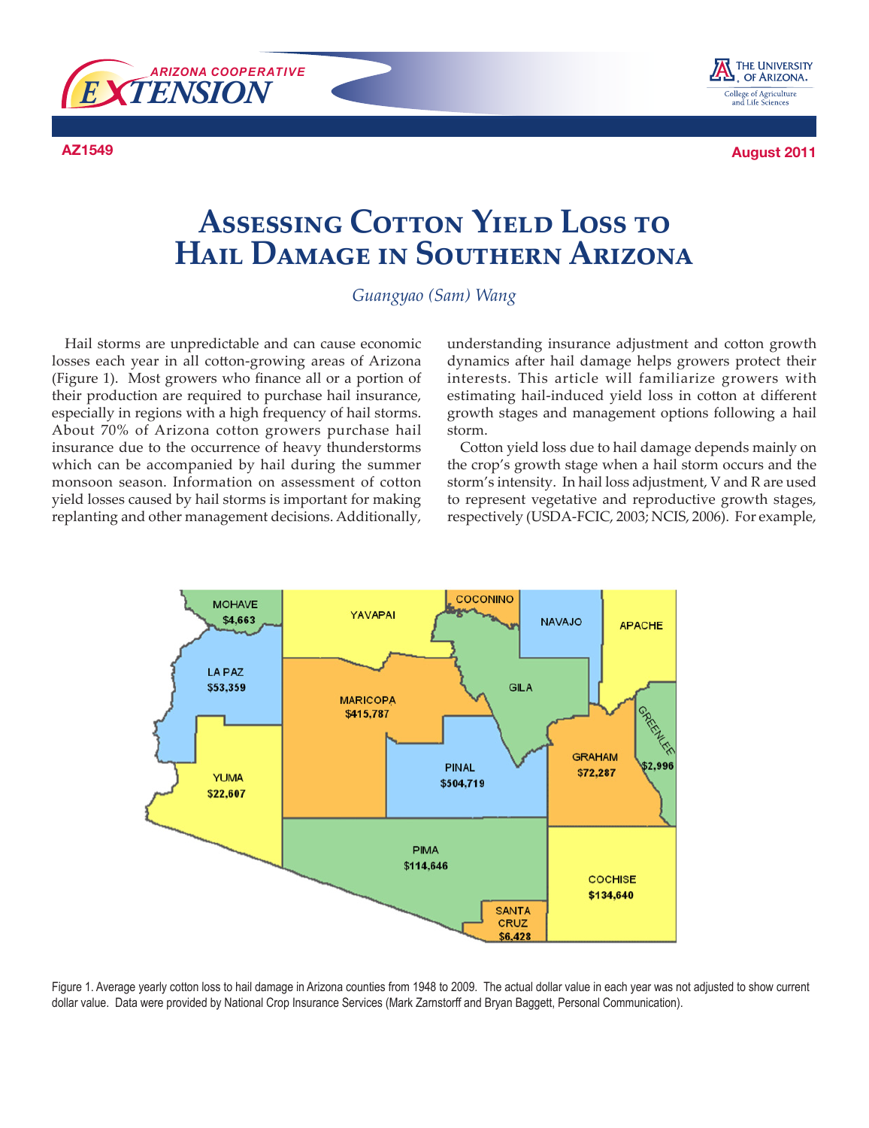



**AZ1549 August 2011**

# **Assessing Cotton Yield Loss to Hail Damage in Southern Arizona**

#### *Guangyao (Sam) Wang*

Hail storms are unpredictable and can cause economic losses each year in all cotton-growing areas of Arizona (Figure 1). Most growers who finance all or a portion of their production are required to purchase hail insurance, especially in regions with a high frequency of hail storms. About 70% of Arizona cotton growers purchase hail insurance due to the occurrence of heavy thunderstorms which can be accompanied by hail during the summer monsoon season. Information on assessment of cotton yield losses caused by hail storms is important for making replanting and other management decisions. Additionally,

understanding insurance adjustment and cotton growth dynamics after hail damage helps growers protect their interests. This article will familiarize growers with estimating hail-induced yield loss in cotton at different growth stages and management options following a hail storm.

Cotton yield loss due to hail damage depends mainly on the crop's growth stage when a hail storm occurs and the storm's intensity. In hail loss adjustment, V and R are used to represent vegetative and reproductive growth stages, respectively (USDA-FCIC, 2003; NCIS, 2006). For example,



Figure 1. Average yearly cotton loss to hail damage in Arizona counties from 1948 to 2009. The actual dollar value in each year was not adjusted to show current dollar value. Data were provided by National Crop Insurance Services (Mark Zarnstorff and Bryan Baggett, Personal Communication).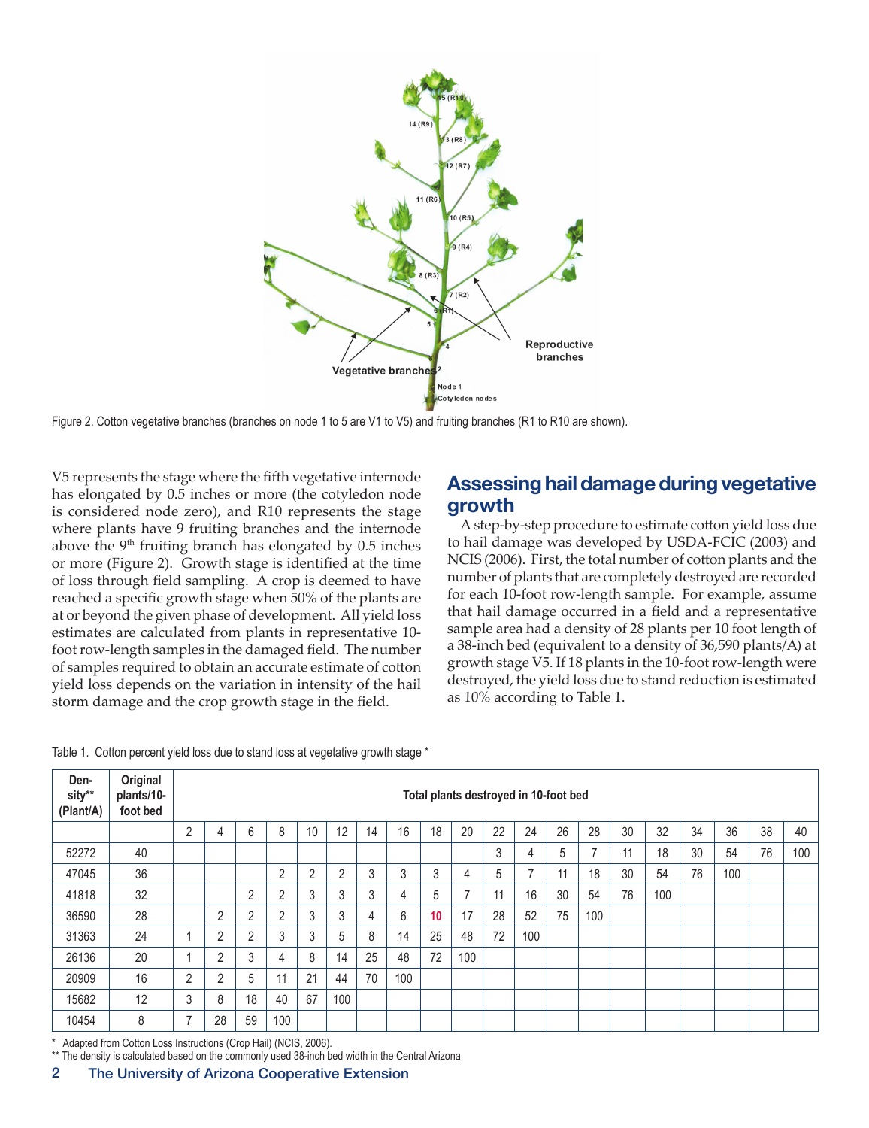

Figure 2. Cotton vegetative branches (branches on node 1 to 5 are V1 to V5) and fruiting branches (R1 to R10 are shown).

V5 represents the stage where the fifth vegetative internode has elongated by 0.5 inches or more (the cotyledon node is considered node zero), and R10 represents the stage where plants have 9 fruiting branches and the internode above the  $9<sup>th</sup>$  fruiting branch has elongated by 0.5 inches or more (Figure 2). Growth stage is identified at the time of loss through field sampling. A crop is deemed to have reached a specific growth stage when 50% of the plants are at or beyond the given phase of development. All yield loss estimates are calculated from plants in representative 10 foot row-length samples in the damaged field. The number of samples required to obtain an accurate estimate of cotton yield loss depends on the variation in intensity of the hail storm damage and the crop growth stage in the field.

## **Assessing hail damage during vegetative growth**

A step-by-step procedure to estimate cotton yield loss due to hail damage was developed by USDA-FCIC (2003) and NCIS (2006). First, the total number of cotton plants and the number of plants that are completely destroyed are recorded for each 10-foot row-length sample. For example, assume that hail damage occurred in a field and a representative sample area had a density of 28 plants per 10 foot length of a 38-inch bed (equivalent to a density of 36,590 plants/A) at growth stage V5. If 18 plants in the 10-foot row-length were destroyed, the yield loss due to stand reduction is estimated as 10% according to Table 1.

| Table 1. Cotton percent yield loss due to stand loss at vegetative growth stage * |  |  |  |  |  |  |  |  |  |  |  |  |  |  |  |  |  |  |  |  |  |  |  |  |  |  |  |
|-----------------------------------------------------------------------------------|--|--|--|--|--|--|--|--|--|--|--|--|--|--|--|--|--|--|--|--|--|--|--|--|--|--|--|
|-----------------------------------------------------------------------------------|--|--|--|--|--|--|--|--|--|--|--|--|--|--|--|--|--|--|--|--|--|--|--|--|--|--|--|

| Den-<br>sity**<br>(Plant/A) | Original<br>plants/10-<br>foot bed | Total plants destroyed in 10-foot bed |                |    |                |    |                |    |     |    |     |    |                |    |     |    |     |    |     |    |     |
|-----------------------------|------------------------------------|---------------------------------------|----------------|----|----------------|----|----------------|----|-----|----|-----|----|----------------|----|-----|----|-----|----|-----|----|-----|
|                             |                                    | $\overline{2}$                        | 4              | 6  | 8              | 10 | 12             | 14 | 16  | 18 | 20  | 22 | 24             | 26 | 28  | 30 | 32  | 34 | 36  | 38 | 40  |
| 52272                       | 40                                 |                                       |                |    |                |    |                |    |     |    |     | 3  | 4              | 5  |     | 11 | 18  | 30 | 54  | 76 | 100 |
| 47045                       | 36                                 |                                       |                |    | $\overline{2}$ | 2  | $\overline{2}$ | 3  | 3   | 3  | 4   | 5  | $\overline{ }$ | 11 | 18  | 30 | 54  | 76 | 100 |    |     |
| 41818                       | 32                                 |                                       |                | 2  | $\overline{2}$ | 3  | 3              | 3  | 4   | 5  | 7   | 11 | 16             | 30 | 54  | 76 | 100 |    |     |    |     |
| 36590                       | 28                                 |                                       | $\overline{2}$ | 2  | $\overline{2}$ | 3  | 3              | 4  | 6   | 10 | 17  | 28 | 52             | 75 | 100 |    |     |    |     |    |     |
| 31363                       | 24                                 |                                       | 2              | 2  | 3              | 3  | 5              | 8  | 14  | 25 | 48  | 72 | 100            |    |     |    |     |    |     |    |     |
| 26136                       | 20                                 |                                       | $\overline{2}$ | 3  | 4              | 8  | 14             | 25 | 48  | 72 | 100 |    |                |    |     |    |     |    |     |    |     |
| 20909                       | 16                                 | 2                                     | $\overline{2}$ | 5  | 11             | 21 | 44             | 70 | 100 |    |     |    |                |    |     |    |     |    |     |    |     |
| 15682                       | 12                                 | 3                                     | 8              | 18 | 40             | 67 | 100            |    |     |    |     |    |                |    |     |    |     |    |     |    |     |
| 10454                       | 8                                  | -                                     | 28             | 59 | 100            |    |                |    |     |    |     |    |                |    |     |    |     |    |     |    |     |

\* Adapted from Cotton Loss Instructions (Crop Hail) (NCIS, 2006).

\*\* The density is calculated based on the commonly used 38-inch bed width in the Central Arizona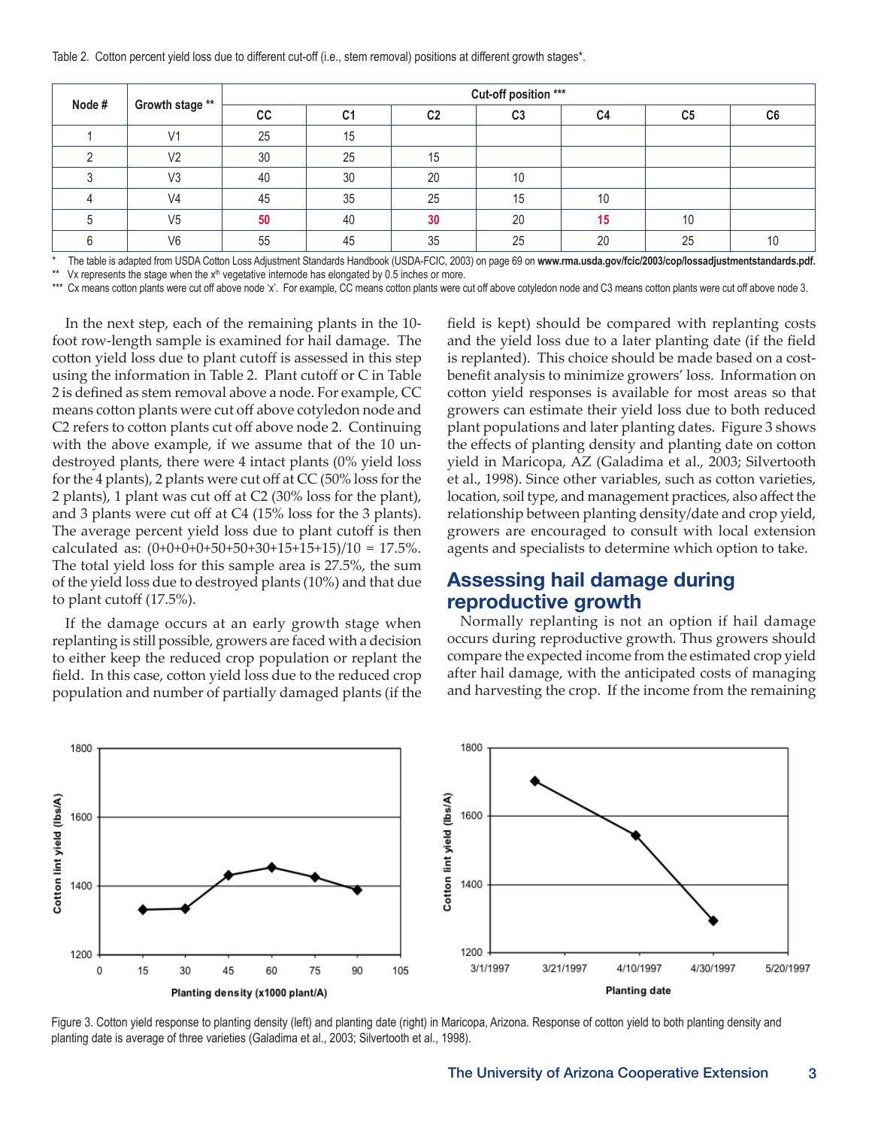Table 2. Cotton percent yield loss due to different cut-off (i.e., stem removal) positions at different growth stages\*.

| Node# | Growth stage ** | Cut-off position *** |                |                |                |    |                |    |  |  |  |  |
|-------|-----------------|----------------------|----------------|----------------|----------------|----|----------------|----|--|--|--|--|
|       |                 | cc                   | C <sub>1</sub> | C <sub>2</sub> | C <sub>3</sub> | C4 | C <sub>5</sub> | C6 |  |  |  |  |
|       | V <sub>1</sub>  | 25                   | 15             |                |                |    |                |    |  |  |  |  |
|       | V <sub>2</sub>  | 30                   | 25             | 15             |                |    |                |    |  |  |  |  |
|       | V3              | 40                   | 30             | 20             | 10             |    |                |    |  |  |  |  |
|       | V <sub>4</sub>  | 45                   | 35             | 25             | 15             | 10 |                |    |  |  |  |  |
|       | V <sub>5</sub>  | 50                   | 40             | 30             | 20             | 15 | 10             |    |  |  |  |  |
|       | V <sub>6</sub>  | 55                   | 45             | 35             | 25             | 20 | 25             | 10 |  |  |  |  |

\* The table is adapted from USDA Cotton Loss Adjustment Standards Handbook (USDA-FCIC, 2003) on page 69 on www.rma.usda.gov/fcic/2003/cop/lossadjustmentstandards.pdf.<br>\*\* Vis reasonable the stage when the vill vegetative in

Vx represents the stage when the  $x<sup>th</sup>$  vegetative internode has elongated by 0.5 inches or more.

\*\*\* Cx means cotton plants were cut off above node 'x'. For example, CC means cotton plants were cut off above cotyledon node and C3 means cotton plants were cut off above node 3.

In the next step, each of the remaining plants in the 10 foot row-length sample is examined for hail damage. The cotton yield loss due to plant cutoff is assessed in this step using the information in Table 2. Plant cutoff or C in Table 2 is defined as stem removal above a node. For example, CC means cotton plants were cut off above cotyledon node and C2 refers to cotton plants cut off above node 2. Continuing with the above example, if we assume that of the 10 undestroyed plants, there were 4 intact plants (0% yield loss for the 4 plants), 2 plants were cut off at CC (50% loss for the 2 plants), 1 plant was cut off at C2 (30% loss for the plant), and 3 plants were cut off at C4 (15% loss for the 3 plants). The average percent yield loss due to plant cutoff is then calculated as: (0+0+0+0+50+50+30+15+15+15)/10 = 17.5%. The total yield loss for this sample area is 27.5%, the sum of the yield loss due to destroyed plants (10%) and that due to plant cutoff (17.5%).

If the damage occurs at an early growth stage when replanting is still possible, growers are faced with a decision to either keep the reduced crop population or replant the field. In this case, cotton yield loss due to the reduced crop population and number of partially damaged plants (if the

field is kept) should be compared with replanting costs and the yield loss due to a later planting date (if the field is replanted). This choice should be made based on a costbenefit analysis to minimize growers' loss. Information on cotton yield responses is available for most areas so that growers can estimate their yield loss due to both reduced plant populations and later planting dates. Figure 3 shows the effects of planting density and planting date on cotton yield in Maricopa, AZ (Galadima et al., 2003; Silvertooth et al., 1998). Since other variables, such as cotton varieties, location, soil type, and management practices, also affect the relationship between planting density/date and crop yield, growers are encouraged to consult with local extension agents and specialists to determine which option to take.

## **Assessing hail damage during reproductive growth**

Normally replanting is not an option if hail damage occurs during reproductive growth. Thus growers should compare the expected income from the estimated crop yield after hail damage, with the anticipated costs of managing and harvesting the crop. If the income from the remaining



Figure 3. Cotton yield response to planting density (left) and planting date (right) in Maricopa, Arizona. Response of cotton yield to both planting density and planting date is average of three varieties (Galadima et al., 2003; Silvertooth et al., 1998).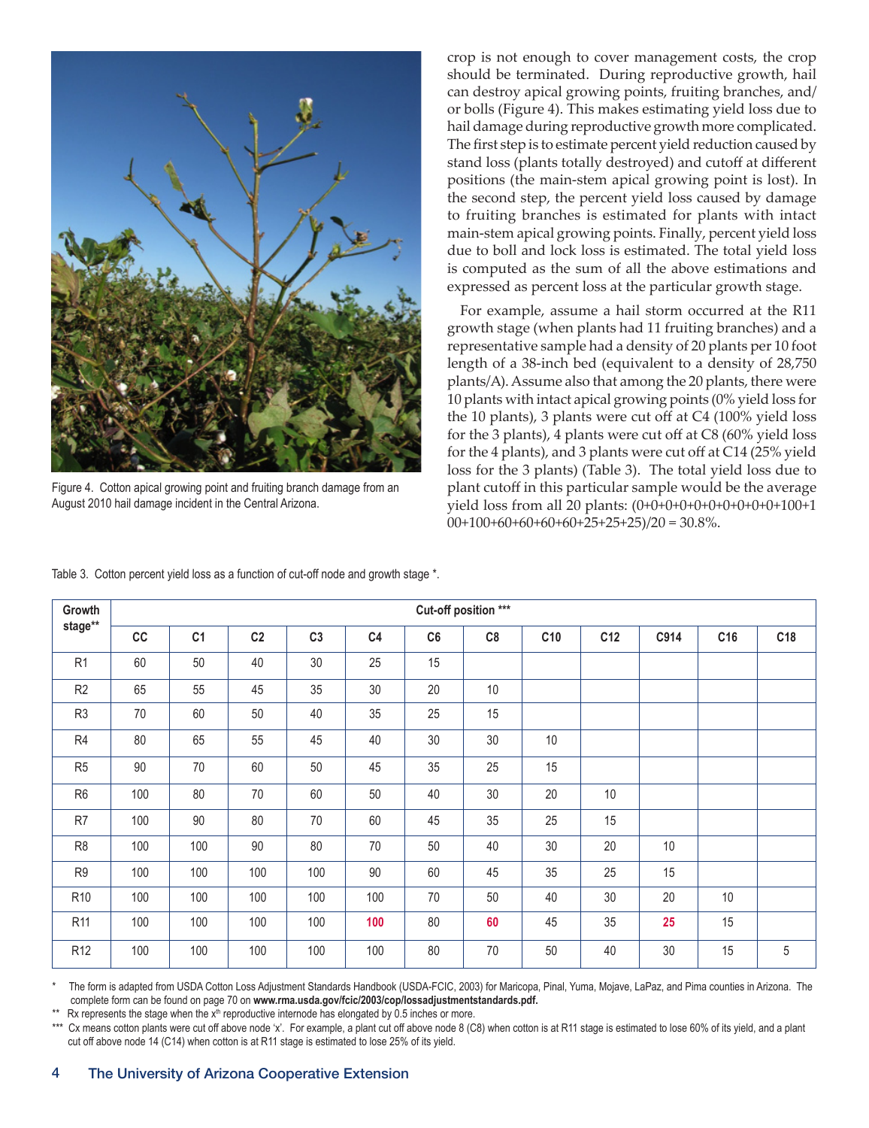

Figure 4. Cotton apical growing point and fruiting branch damage from an August 2010 hail damage incident in the Central Arizona.

crop is not enough to cover management costs, the crop should be terminated. During reproductive growth, hail can destroy apical growing points, fruiting branches, and/ or bolls (Figure 4). This makes estimating yield loss due to hail damage during reproductive growth more complicated. The first step is to estimate percent yield reduction caused by stand loss (plants totally destroyed) and cutoff at different positions (the main-stem apical growing point is lost). In the second step, the percent yield loss caused by damage to fruiting branches is estimated for plants with intact main-stem apical growing points. Finally, percent yield loss due to boll and lock loss is estimated. The total yield loss is computed as the sum of all the above estimations and expressed as percent loss at the particular growth stage.

For example, assume a hail storm occurred at the R11 growth stage (when plants had 11 fruiting branches) and a representative sample had a density of 20 plants per 10 foot length of a 38-inch bed (equivalent to a density of 28,750 plants/A). Assume also that among the 20 plants, there were 10 plants with intact apical growing points (0% yield loss for the 10 plants), 3 plants were cut off at C4 (100% yield loss for the 3 plants), 4 plants were cut off at C8 (60% yield loss for the 4 plants), and 3 plants were cut off at C14 (25% yield loss for the 3 plants) (Table 3). The total yield loss due to plant cutoff in this particular sample would be the average yield loss from all 20 plants: (0+0+0+0+0+0+0+0+0+0+100+1  $00+100+60+60+60+60+25+25+25)/20 = 30.8\%$ .

| Growth          |     | Cut-off position *** |                |                |                |    |    |     |     |      |                 |                 |  |  |  |
|-----------------|-----|----------------------|----------------|----------------|----------------|----|----|-----|-----|------|-----------------|-----------------|--|--|--|
| stage**         | cc  | C <sub>1</sub>       | C <sub>2</sub> | C <sub>3</sub> | C <sub>4</sub> | C6 | C8 | C10 | C12 | C914 | C <sub>16</sub> | C <sub>18</sub> |  |  |  |
| R <sub>1</sub>  | 60  | 50                   | 40             | 30             | 25             | 15 |    |     |     |      |                 |                 |  |  |  |
| R <sub>2</sub>  | 65  | 55                   | 45             | 35             | 30             | 20 | 10 |     |     |      |                 |                 |  |  |  |
| R <sub>3</sub>  | 70  | 60                   | 50             | 40             | 35             | 25 | 15 |     |     |      |                 |                 |  |  |  |
| R4              | 80  | 65                   | 55             | 45             | 40             | 30 | 30 | 10  |     |      |                 |                 |  |  |  |
| R <sub>5</sub>  | 90  | 70                   | 60             | 50             | 45             | 35 | 25 | 15  |     |      |                 |                 |  |  |  |
| R <sub>6</sub>  | 100 | 80                   | 70             | 60             | 50             | 40 | 30 | 20  | 10  |      |                 |                 |  |  |  |
| R7              | 100 | 90                   | 80             | 70             | 60             | 45 | 35 | 25  | 15  |      |                 |                 |  |  |  |
| R <sub>8</sub>  | 100 | 100                  | 90             | 80             | 70             | 50 | 40 | 30  | 20  | 10   |                 |                 |  |  |  |
| R <sub>9</sub>  | 100 | 100                  | 100            | 100            | 90             | 60 | 45 | 35  | 25  | 15   |                 |                 |  |  |  |
| R <sub>10</sub> | 100 | 100                  | 100            | 100            | 100            | 70 | 50 | 40  | 30  | 20   | 10              |                 |  |  |  |
| R <sub>11</sub> | 100 | 100                  | 100            | 100            | 100            | 80 | 60 | 45  | 35  | 25   | 15              |                 |  |  |  |
| R <sub>12</sub> | 100 | 100                  | 100            | 100            | 100            | 80 | 70 | 50  | 40  | 30   | 15              | 5               |  |  |  |

Table 3. Cotton percent yield loss as a function of cut-off node and growth stage \*.

The form is adapted from USDA Cotton Loss Adjustment Standards Handbook (USDA-FCIC, 2003) for Maricopa, Pinal, Yuma, Mojave, LaPaz, and Pima counties in Arizona. The complete form can be found on page 70 on **www.rma.usda.gov/fcic/2003/cop/lossadjustmentstandards.pdf.**

 $Rx$  represents the stage when the  $x<sup>th</sup>$  reproductive internode has elongated by 0.5 inches or more.

Cx means cotton plants were cut off above node 'x'. For example, a plant cut off above node 8 (C8) when cotton is at R11 stage is estimated to lose 60% of its yield, and a plant cut off above node 14 (C14) when cotton is at R11 stage is estimated to lose 25% of its yield.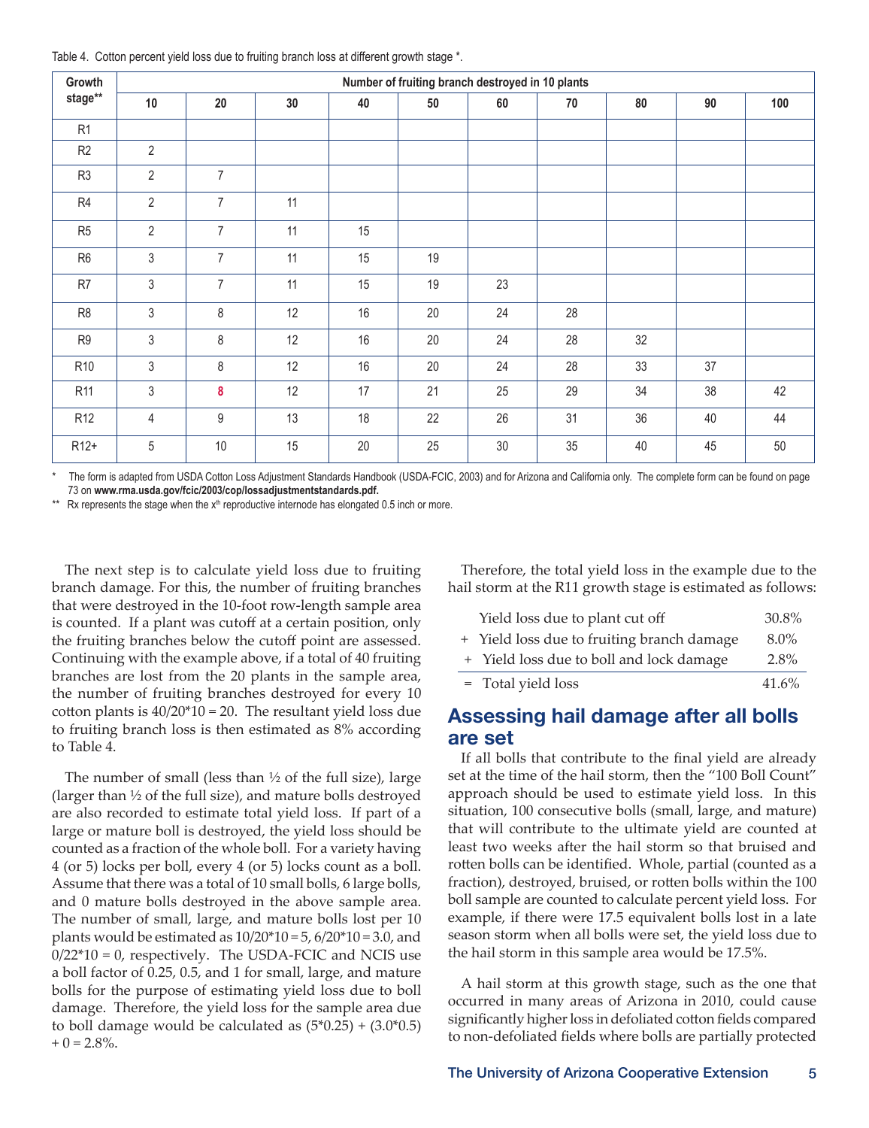Table 4. Cotton percent yield loss due to fruiting branch loss at different growth stage \*.

| Growth           |                | Number of fruiting branch destroyed in 10 plants |                 |    |        |    |    |    |    |     |  |  |  |  |  |
|------------------|----------------|--------------------------------------------------|-----------------|----|--------|----|----|----|----|-----|--|--|--|--|--|
| stage**          | 10             | 20                                               | 30 <sup>°</sup> | 40 | $50\,$ | 60 | 70 | 80 | 90 | 100 |  |  |  |  |  |
| R <sub>1</sub>   |                |                                                  |                 |    |        |    |    |    |    |     |  |  |  |  |  |
| R <sub>2</sub>   | $\overline{2}$ |                                                  |                 |    |        |    |    |    |    |     |  |  |  |  |  |
| R <sub>3</sub>   | $\overline{2}$ | $\overline{7}$                                   |                 |    |        |    |    |    |    |     |  |  |  |  |  |
| R4               | $\overline{2}$ | $\overline{7}$                                   | 11              |    |        |    |    |    |    |     |  |  |  |  |  |
| R <sub>5</sub>   | $\overline{2}$ | $\overline{7}$                                   | 11              | 15 |        |    |    |    |    |     |  |  |  |  |  |
| R <sub>6</sub>   | 3              | $\overline{7}$                                   | 11              | 15 | 19     |    |    |    |    |     |  |  |  |  |  |
| R7               | 3              | $\overline{7}$                                   | 11              | 15 | 19     | 23 |    |    |    |     |  |  |  |  |  |
| R <sub>8</sub>   | 3              | $\,8\,$                                          | 12              | 16 | 20     | 24 | 28 |    |    |     |  |  |  |  |  |
| R9               | 3              | $\,8\,$                                          | 12              | 16 | 20     | 24 | 28 | 32 |    |     |  |  |  |  |  |
| R <sub>10</sub>  | 3              | 8                                                | 12              | 16 | 20     | 24 | 28 | 33 | 37 |     |  |  |  |  |  |
| R <sub>11</sub>  | 3              | $\bf{8}$                                         | 12              | 17 | 21     | 25 | 29 | 34 | 38 | 42  |  |  |  |  |  |
| R <sub>12</sub>  | 4              | 9                                                | 13              | 18 | 22     | 26 | 31 | 36 | 40 | 44  |  |  |  |  |  |
| R <sub>12+</sub> | 5              | 10                                               | 15              | 20 | 25     | 30 | 35 | 40 | 45 | 50  |  |  |  |  |  |

The form is adapted from USDA Cotton Loss Adjustment Standards Handbook (USDA-FCIC, 2003) and for Arizona and California only. The complete form can be found on page 73 on **www.rma.usda.gov/fcic/2003/cop/lossadjustmentstandards.pdf.**

\*\* Rx represents the stage when the  $x<sup>th</sup>$  reproductive internode has elongated 0.5 inch or more.

The next step is to calculate yield loss due to fruiting branch damage. For this, the number of fruiting branches that were destroyed in the 10-foot row-length sample area is counted. If a plant was cutoff at a certain position, only the fruiting branches below the cutoff point are assessed. Continuing with the example above, if a total of 40 fruiting branches are lost from the 20 plants in the sample area, the number of fruiting branches destroyed for every 10 cotton plants is  $40/20*10 = 20$ . The resultant yield loss due to fruiting branch loss is then estimated as 8% according to Table 4.

The number of small (less than  $\frac{1}{2}$  of the full size), large (larger than ½ of the full size), and mature bolls destroyed are also recorded to estimate total yield loss. If part of a large or mature boll is destroyed, the yield loss should be counted as a fraction of the whole boll. For a variety having 4 (or 5) locks per boll, every 4 (or 5) locks count as a boll. Assume that there was a total of 10 small bolls, 6 large bolls, and 0 mature bolls destroyed in the above sample area. The number of small, large, and mature bolls lost per 10 plants would be estimated as  $10/20*10 = 5$ ,  $6/20*10 = 3.0$ , and  $0/22*10 = 0$ , respectively. The USDA-FCIC and NCIS use a boll factor of 0.25, 0.5, and 1 for small, large, and mature bolls for the purpose of estimating yield loss due to boll damage. Therefore, the yield loss for the sample area due to boll damage would be calculated as  $(5*0.25) + (3.0*0.5)$  $+ 0 = 2.8\%$ .

Therefore, the total yield loss in the example due to the hail storm at the R11 growth stage is estimated as follows:

| Yield loss due to plant cut off            | 30.8%   |
|--------------------------------------------|---------|
| + Yield loss due to fruiting branch damage | $8.0\%$ |
| + Yield loss due to boll and lock damage   | 2.8%    |
| = Total yield loss                         | 41.6%   |

#### **Assessing hail damage after all bolls are set**

If all bolls that contribute to the final yield are already set at the time of the hail storm, then the "100 Boll Count" approach should be used to estimate yield loss. In this situation, 100 consecutive bolls (small, large, and mature) that will contribute to the ultimate yield are counted at least two weeks after the hail storm so that bruised and rotten bolls can be identified. Whole, partial (counted as a fraction), destroyed, bruised, or rotten bolls within the 100 boll sample are counted to calculate percent yield loss. For example, if there were 17.5 equivalent bolls lost in a late season storm when all bolls were set, the yield loss due to the hail storm in this sample area would be 17.5%.

A hail storm at this growth stage, such as the one that occurred in many areas of Arizona in 2010, could cause significantly higher loss in defoliated cotton fields compared to non-defoliated fields where bolls are partially protected